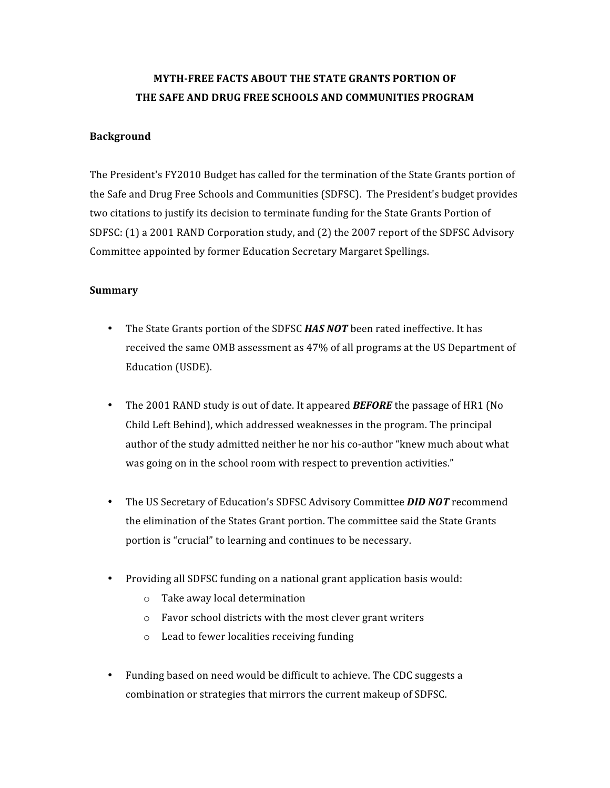## **MYTH-FREE FACTS ABOUT THE STATE GRANTS PORTION OF** THE SAFE AND DRUG FREE SCHOOLS AND COMMUNITIES PROGRAM

#### **Background**

The President's FY2010 Budget has called for the termination of the State Grants portion of the Safe and Drug Free Schools and Communities (SDFSC). The President's budget provides two citations to justify its decision to terminate funding for the State Grants Portion of SDFSC: (1) a 2001 RAND Corporation study, and (2) the 2007 report of the SDFSC Advisory Committee
appointed
by
former
Education
Secretary
Margaret
Spellings.

#### **Summary**

- The State Grants portion of the SDFSC **HAS NOT** been rated ineffective. It has received the same OMB assessment as 47% of all programs at the US Department of Education
(USDE).
- The 2001 RAND study is out of date. It appeared **BEFORE** the passage of HR1 (No Child
Left
Behind),
which
addressed
weaknesses
in
the
program.
The
principal author of the study admitted neither he nor his co-author "knew much about what was going on in the school room with respect to prevention activities."
- The US Secretary of Education's SDFSC Advisory Committee **DID NOT** recommend the elimination of the States Grant portion. The committee said the State Grants portion
is
"crucial"
to
learning
and
continues
to
be
necessary.
- Providing all SDFSC funding on a national grant application basis would:
	- o Take
	away
	local
	determination
	- o Favor
	school
	districts
	with
	the
	most
	clever
	grant
	writers
	- o Lead
	to
	fewer
	localities
	receiving
	funding
- Funding based on need would be difficult to achieve. The CDC suggests a combination
or
strategies
that
mirrors
the
current
makeup
of
SDFSC.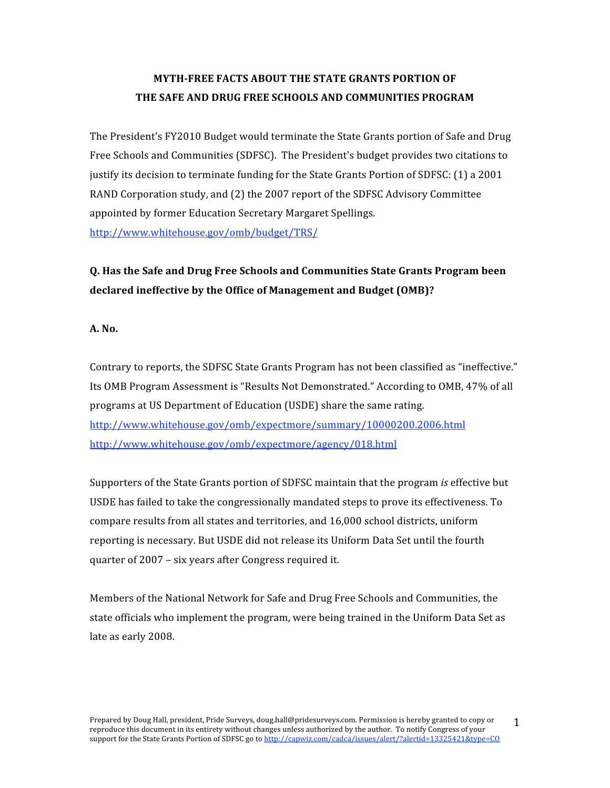## **MYTH-FREE FACTS ABOUT THE STATE GRANTS PORTION OF** THE SAFE AND DRUG FREE SCHOOLS AND COMMUNITIES PROGRAM

The
President's
FY2010
Budget
would
terminate
the
State
Grants
portion
of
Safe
and
Drug Free Schools and Communities (SDFSC). The President's budget provides two citations to justify its decision to terminate funding for the State Grants Portion of SDFSC: (1) a 2001 RAND Corporation study, and (2) the 2007 report of the SDFSC Advisory Committee appointed
by
former
Education
Secretary
Margaret
Spellings. http://www.whitehouse.gov/omb/budget/TRS/

## **Q.
Has
the
Safe
and
Drug
Free
Schools
and
Communities
State
Grants
Program
been declared
ineffective
by
the
Office
of
Management
and
Budget
(OMB)?**

**A.
No.**

Contrary to reports, the SDFSC State Grants Program has not been classified as "ineffective." Its OMB Program Assessment is "Results Not Demonstrated." According to OMB, 47% of all programs
at
US
Department
of
Education
(USDE)
share
the
same
rating. http://www.whitehouse.gov/omb/expectmore/summary/10000200.2006.html http://www.whitehouse.gov/omb/expectmore/agency/018.html

Supporters of the State Grants portion of SDFSC maintain that the program *is* effective but USDE has failed to take the congressionally mandated steps to prove its effectiveness. To compare results from all states and territories, and 16,000 school districts, uniform reporting is necessary. But USDE did not release its Uniform Data Set until the fourth quarter
of
2007 –
six
years
after
Congress
required
it.

Members
of
the
National
Network
for
Safe
and
Drug
Free
Schools
and
Communities,
the state officials who implement the program, were being trained in the Uniform Data Set as late
as
early
2008.

1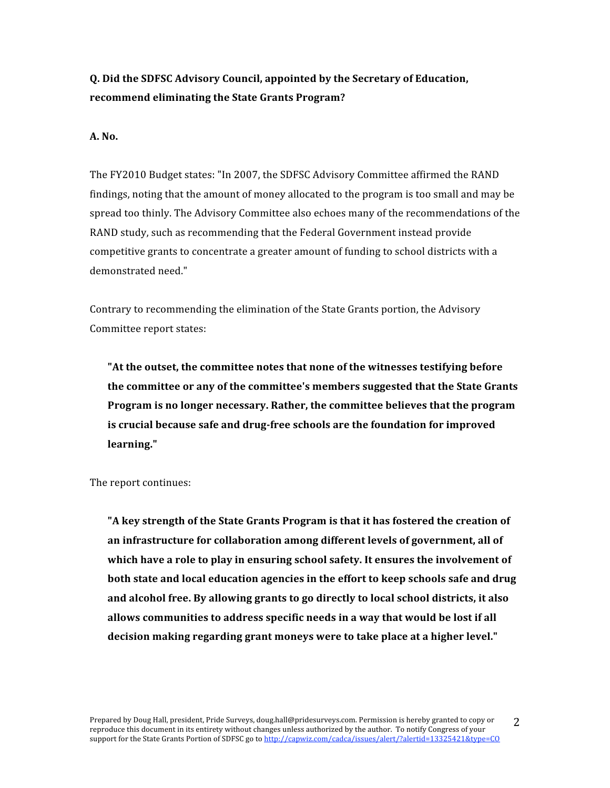### **Q.
Did
the
SDFSC
Advisory
Council,
appointed
by
the
Secretary
of
Education, recommend
eliminating
the
State
Grants
Program?**

#### **A.
No.**

The FY2010 Budget states: "In 2007, the SDFSC Advisory Committee affirmed the RAND findings, noting that the amount of money allocated to the program is too small and may be spread too thinly. The Advisory Committee also echoes many of the recommendations of the RAND
study,
such
as
recommending
that
the
Federal
Government
instead
provide competitive grants to concentrate a greater amount of funding to school districts with a demonstrated
need."

Contrary to recommending the elimination of the State Grants portion, the Advisory Committee
report
states:

"At the outset, the committee notes that none of the witnesses testifying before the committee or any of the committee's members suggested that the State Grants Program is no longer necessary. Rather, the committee believes that the program is crucial because safe and drug-free schools are the foundation for improved **learning."**

The
report
continues:

"A key strength of the State Grants Program is that it has fostered the creation of an infrastructure for collaboration among different levels of government, all of which have a role to play in ensuring school safety. It ensures the involvement of both state and local education agencies in the effort to keep schools safe and drug and alcohol free. By allowing grants to go directly to local school districts, it also allows communities to address specific needs in a way that would be lost if all decision making regarding grant moneys were to take place at a higher level."

2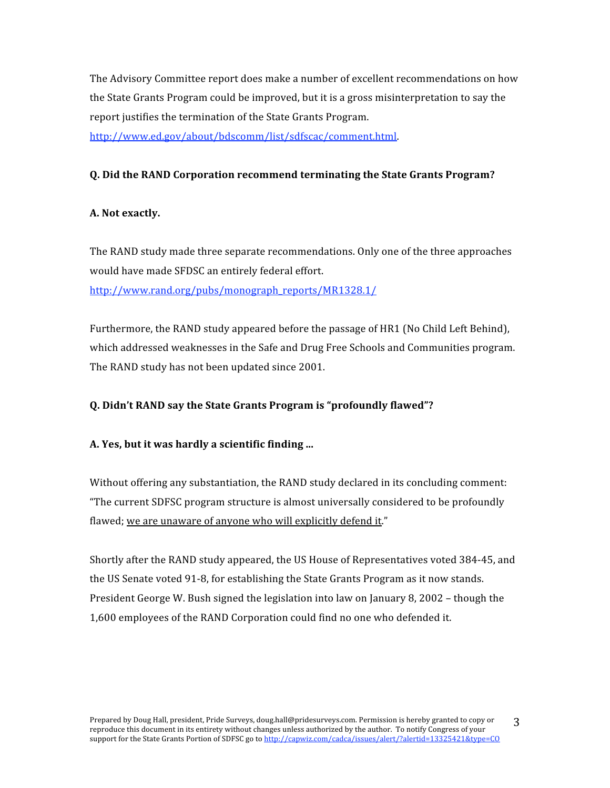The
Advisory
Committee
report
does
make
a
number
of
excellent
recommendations
on
how the State Grants Program could be improved, but it is a gross misinterpretation to say the report justifies the termination of the State Grants Program.

http://www.ed.gov/about/bdscomm/list/sdfscac/comment.html.

### **Q.
Did
the
RAND
Corporation
recommend
terminating
the
State
Grants
Program?**

### **A.
Not
exactly.**

The
RAND
study
made
three
separate
recommendations.
Only
one
of
the
three
approaches would
have
made
SFDSC
an
entirely
federal
effort. http://www.rand.org/pubs/monograph\_reports/MR1328.1/

Furthermore, the RAND study appeared before the passage of HR1 (No Child Left Behind), which addressed weaknesses in the Safe and Drug Free Schools and Communities program. The
RAND
study
has
not
been
updated
since
2001.

### **Q.
Didn't
RAND
say
the
State
Grants
Program
is
"profoundly
flawed"?**

#### **A.
Yes,
but
it
was
hardly
a
scientific
finding
...**

Without offering any substantiation, the RAND study declared in its concluding comment: "The
current
SDFSC
program
structure
is
almost
universally
considered
to
be
profoundly flawed; we are unaware of anyone who will explicitly defend it."

Shortly after the RAND study appeared, the US House of Representatives voted 384-45, and the US Senate voted 91-8, for establishing the State Grants Program as it now stands. President George W. Bush signed the legislation into law on January 8, 2002 – though the 1,600
employees
of
the
RAND
Corporation
could
find
no
one
who
defended
it.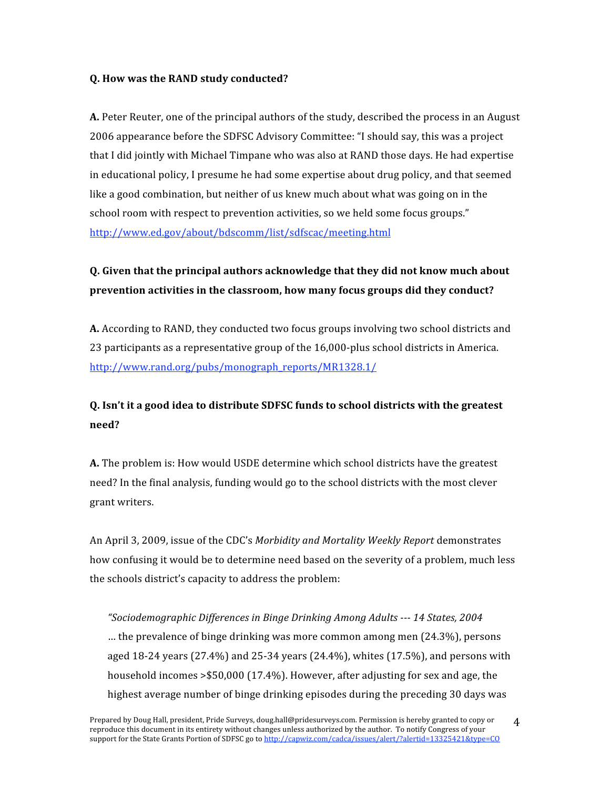#### **Q.
How
was
the
RAND
study
conducted?**

A. Peter Reuter, one of the principal authors of the study, described the process in an August 2006
appearance
before
the
SDFSC
Advisory
Committee:
"I
should
say,
this
was
a
project that I did jointly with Michael Timpane who was also at RAND those days. He had expertise in
educational
policy,
I
presume
he
had
some
expertise
about
drug
policy,
and
that
seemed like a good combination, but neither of us knew much about what was going on in the school room with respect to prevention activities, so we held some focus groups." http://www.ed.gov/about/bdscomm/list/sdfscac/meeting.html

# Q. Given that the principal authors acknowledge that they did not know much about prevention activities in the classroom, how many focus groups did they conduct?

A. According to RAND, they conducted two focus groups involving two school districts and 23 participants as a representative group of the 16,000-plus school districts in America. http://www.rand.org/pubs/monograph\_reports/MR1328.1/

## Q. Isn't it a good idea to distribute SDFSC funds to school districts with the greatest **need?**

A. The problem is: How would USDE determine which school districts have the greatest need?
In
the
final
analysis,
funding
would
go
to
the
school
districts
with
the
most
clever grant
writers.

An
April
3,
2009,
issue
of
the
CDC's *Morbidity
and
Mortality
Weekly
Report* demonstrates how confusing it would be to determine need based on the severity of a problem, much less the
schools
district's
capacity
to
address
the
problem:

*"Sociodemographic
Differences
in
Binge
Drinking
Among
Adults

14
States,
2004* …
the
prevalence
of
binge
drinking
was
more
common
among
men
(24.3%),
persons aged
18‐24
years
(27.4%)
and
25‐34
years
(24.4%),
whites
(17.5%),
and
persons
with household incomes > \$50,000 (17.4%). However, after adjusting for sex and age, the highest average number of binge drinking episodes during the preceding 30 days was